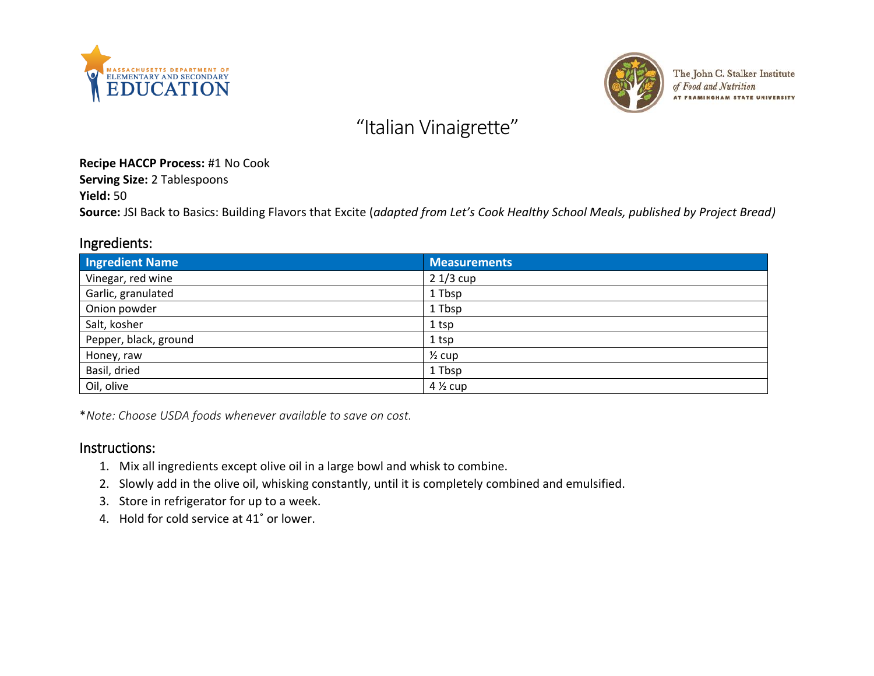



The John C. Stalker Institute of Food and Nutrition AT FRAMINGHAM STATE UNIVERSITY

# "Italian Vinaigrette"

#### **Recipe HACCP Process:** #1 No Cook

**Serving Size:** 2 Tablespoons

**Yield:** 50

**Source:** JSI Back to Basics: Building Flavors that Excite (*adapted from Let's Cook Healthy School Meals, published by Project Bread)*

#### Ingredients:

| <b>Ingredient Name</b> | <b>Measurements</b> |
|------------------------|---------------------|
| Vinegar, red wine      | $21/3$ cup          |
| Garlic, granulated     | 1 Tbsp              |
| Onion powder           | 1 Tbsp              |
| Salt, kosher           | 1 tsp               |
| Pepper, black, ground  | 1 tsp               |
| Honey, raw             | $\frac{1}{2}$ cup   |
| Basil, dried           | 1 Tbsp              |
| Oil, olive             | $4\frac{1}{2}$ cup  |

\**Note: Choose USDA foods whenever available to save on cost.*

### Instructions:

- 1. Mix all ingredients except olive oil in a large bowl and whisk to combine.
- 2. Slowly add in the olive oil, whisking constantly, until it is completely combined and emulsified.
- 3. Store in refrigerator for up to a week.
- 4. Hold for cold service at 41˚ or lower.